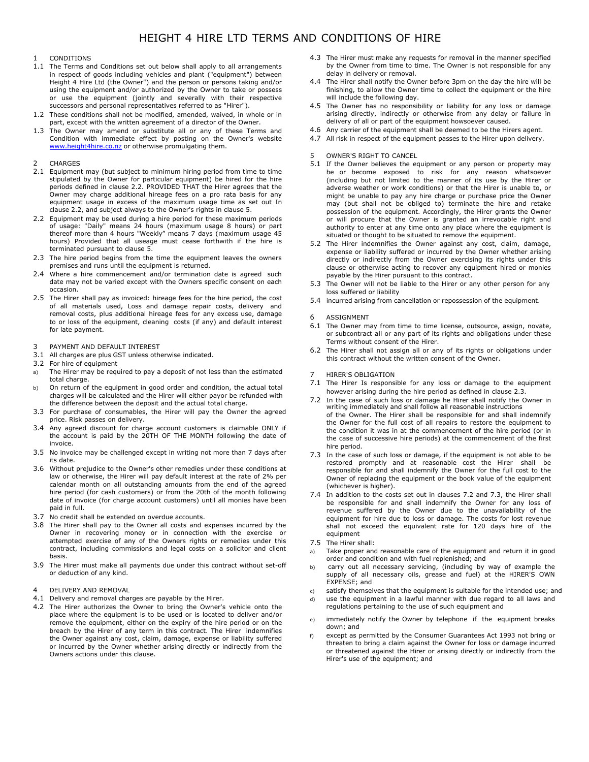# 1 CONDITIONS

- 1.1 The Terms and Conditions set out below shall apply to all arrangements in respect of goods including vehicles and plant ("equipment") between Height 4 Hire Ltd (the Owner") and the person or persons taking and/or using the equipment and/or authorized by the Owner to take or possess or use the equipment (jointly and severally with their respective successors and personal representatives referred to as "Hirer").
- 1.2 These conditions shall not be modified, amended, waived, in whole or in part, except with the written agreement of a director of the Owner.
- 1.3 The Owner may amend or substitute all or any of these Terms and Condition with immediate effect by posting on the Owner's website www.height4hire.co.nz or otherwise promulgating them.

#### **CHARGES**

- 2.1 Equipment may (but subject to minimum hiring period from time to time stipulated by the Owner for particular equipment) be hired for the hire periods defined in clause 2.2. PROVIDED THAT the Hirer agrees that the Owner may charge additional hireage fees on a pro rata basis for any equipment usage in excess of the maximum usage time as set out In clause 2.2, and subject always to the Owner's rights in clause 5.
- 2.2 Equipment may be used during a hire period for these maximum periods of usage: "Daily" means 24 hours (maximum usage 8 hours) or part thereof more than 4 hours "Weekly" means 7 days (maximum usage 45 hours) Provided that all useage must cease forthwith if the hire is terminated pursuant to clause 5.
- 2.3 The hire period begins from the time the equipment leaves the owners premises and runs until the equipment is returned.
- 2.4 Where a hire commencement and/or termination date is agreed such date may not be varied except with the Owners specific consent on each occasion.
- 2.5 The Hirer shall pay as invoiced: hireage fees for the hire period, the cost of all materials used, Loss and damage repair costs, delivery and removal costs, plus additional hireage fees for any excess use, damage to or loss of the equipment, cleaning costs (if any) and default interest for late payment.

### 3 PAYMENT AND DEFAULT INTEREST

- 3.1 All charges are plus GST unless otherwise indicated.
- 3.2 For hire of equipment
- a) The Hirer may be required to pay a deposit of not less than the estimated total charge.
- b) On return of the equipment in good order and condition, the actual total charges will be calculated and the Hirer will either payor be refunded with the difference between the deposit and the actual total charge.
- 3.3 For purchase of consumables, the Hirer will pay the Owner the agreed price. Risk passes on delivery.
- 3.4 Any agreed discount for charge account customers is claimable ONLY if the account is paid by the 20TH OF THE MONTH following the date of invoice.
- 3.5 No invoice may be challenged except in writing not more than 7 days after its date.
- 3.6 Without prejudice to the Owner's other remedies under these conditions at law or otherwise, the Hirer will pay default interest at the rate of 2% per calendar month on all outstanding amounts from the end of the agreed hire period (for cash customers) or from the 20th of the month following date of invoice (for charge account customers) until all monies have been paid in full.
- 3.7 No credit shall be extended on overdue accounts.
- 3.8 The Hirer shall pay to the Owner all costs and expenses incurred by the Owner in recovering money or in connection with the exercise or attempted exercise of any of the Owners rights or remedies under this contract, including commissions and legal costs on a solicitor and client basis.
- 3.9 The Hirer must make all payments due under this contract without set-off or deduction of any kind.

## 4 DELIVERY AND REMOVAL

- 4.1 Delivery and removal charges are payable by the Hirer.
- 4.2 The Hirer authorizes the Owner to bring the Owner's vehicle onto the place where the equipment is to be used or is located to deliver and/or remove the equipment, either on the expiry of the hire period or on the breach by the Hirer of any term in this contract. The Hirer indemnifies the Owner against any cost, claim, damage, expense or liability suffered or incurred by the Owner whether arising directly or indirectly from the Owners actions under this clause.
- 4.3 The Hirer must make any requests for removal in the manner specified by the Owner from time to time. The Owner is not responsible for any delay in delivery or removal.
- 4.4 The Hirer shall notify the Owner before 3pm on the day the hire will be finishing, to allow the Owner time to collect the equipment or the hire will include the following day.
- 4.5 The Owner has no responsibility or liability for any loss or damage arising directly, indirectly or otherwise from any delay or failure in delivery of all or part of the equipment howsoever caused.
- 4.6 Any carrier of the equipment shall be deemed to be the Hirers agent.
- 4.7 All risk in respect of the equipment passes to the Hirer upon delivery.

### OWNER'S RIGHT TO CANCEL

- 5.1 If the Owner believes the equipment or any person or property may be or become exposed to risk for any reason whatsoever (including but not limited to the manner of its use by the Hirer or adverse weather or work conditions) or that the Hirer is unable to, or might be unable to pay any hire charge or purchase price the Owner may (but shall not be obliged to) terminate the hire and retake possession of the equipment. Accordingly, the Hirer grants the Owner or will procure that the Owner is granted an irrevocable right and authority to enter at any time onto any place where the equipment is situated or thought to be situated to remove the equipment.
- 5.2 The Hirer indemnifies the Owner against any cost, claim, damage, expense or liability suffered or incurred by the Owner whether arising directly or indirectly from the Owner exercising its rights under this clause or otherwise acting to recover any equipment hired or monies payable by the Hirer pursuant to this contract.
- 5.3 The Owner will not be liable to the Hirer or any other person for any loss suffered or liability
- 5.4 incurred arising from cancellation or repossession of the equipment.
- 6 ASSIGNMENT
- 6.1 The Owner may from time to time license, outsource, assign, novate, or subcontract all or any part of its rights and obligations under these Terms without consent of the Hirer.
- 6.2 The Hirer shall not assign all or any of its rights or obligations under this contract without the written consent of the Owner.

### **HIRER'S OBLIGATION**

- 7.1 The Hirer Is responsible for any loss or damage to the equipment however arising during the hire period as defined in clause 2.3.
- 7.2 In the case of such loss or damage he Hirer shall notify the Owner in writing immediately and shall follow all reasonable instructions of the Owner. The Hirer shall be responsible for and shall indemnify the Owner for the full cost of all repairs to restore the equipment to the condition it was in at the commencement of the hire period (or in the case of successive hire periods) at the commencement of the first hire period.
- 7.3 In the case of such loss or damage, if the equipment is not able to be restored promptly and at reasonable cost the Hirer shall be responsible for and shall indemnify the Owner for the full cost to the Owner of replacing the equipment or the book value of the equipment (whichever is higher).
- 7.4 In addition to the costs set out in clauses 7.2 and 7.3, the Hirer shall be responsible for and shall indemnify the Owner for any loss of revenue suffered by the Owner due to the unavailability of the equipment for hire due to loss or damage. The costs for lost revenue shall not exceed the equivalent rate for 120 days hire of the equipment
- 7.5 The Hirer shall:
- a) Take proper and reasonable care of the equipment and return it in good order and condition and with fuel replenished; and
- b) carry out all necessary servicing, (including by way of example the supply of all necessary oils, grease and fuel) at the HIRER'S OWN EXPENSE; and
- c) satisfy themselves that the equipment is suitable for the intended use; and
- d) use the equipment in a lawful manner with due regard to all laws and regulations pertaining to the use of such equipment and
- e) immediately notify the Owner by telephone if the equipment breaks down; and
- f) except as permitted by the Consumer Guarantees Act 1993 not bring or threaten to bring a claim against the Owner for loss or damage incurred or threatened against the Hirer or arising directly or indirectly from the Hirer's use of the equipment; and